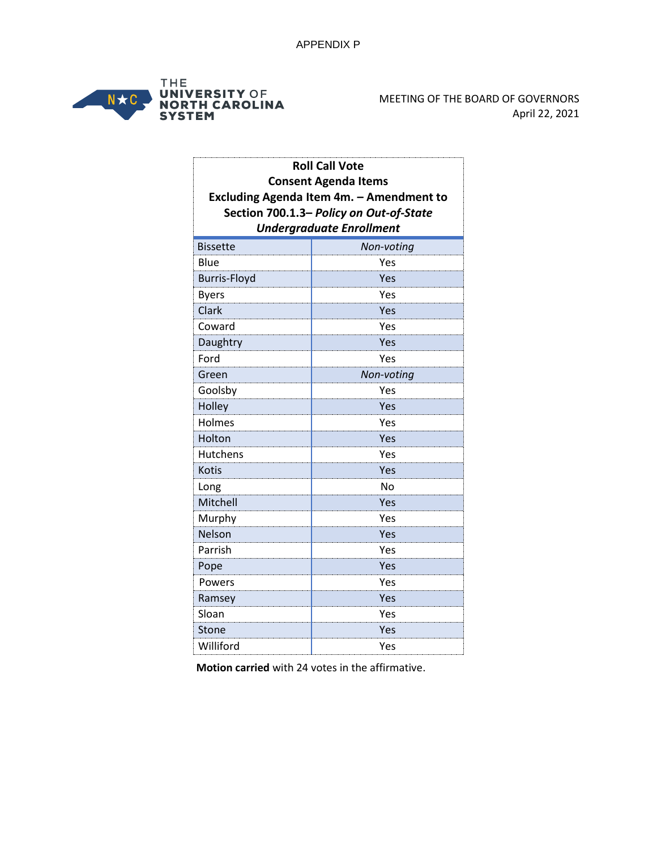

| <b>Roll Call Vote</b><br><b>Consent Agenda Items</b><br>Excluding Agenda Item 4m. - Amendment to |            |  |                                         |
|--------------------------------------------------------------------------------------------------|------------|--|-----------------------------------------|
|                                                                                                  |            |  | Section 700.1.3- Policy on Out-of-State |
|                                                                                                  |            |  | <b>Undergraduate Enrollment</b>         |
| <b>Bissette</b>                                                                                  | Non-voting |  |                                         |
| Blue                                                                                             | Yes        |  |                                         |
| <b>Burris-Floyd</b>                                                                              | Yes        |  |                                         |
| <b>Byers</b>                                                                                     | Yes        |  |                                         |
| Clark                                                                                            | Yes        |  |                                         |
| Coward                                                                                           | Yes        |  |                                         |
| Daughtry                                                                                         | Yes        |  |                                         |
| Ford                                                                                             | Yes        |  |                                         |
| Green                                                                                            | Non-voting |  |                                         |
| Goolsby                                                                                          | Yes        |  |                                         |
| Holley                                                                                           | Yes        |  |                                         |
| Holmes                                                                                           | Yes        |  |                                         |
| Holton                                                                                           | Yes        |  |                                         |
| <b>Hutchens</b>                                                                                  | Yes        |  |                                         |
| <b>Kotis</b>                                                                                     | Yes        |  |                                         |
| Long                                                                                             | <b>No</b>  |  |                                         |
| Mitchell                                                                                         | Yes        |  |                                         |
| Murphy                                                                                           | Yes        |  |                                         |
| Nelson                                                                                           | Yes        |  |                                         |
| Parrish                                                                                          | Yes        |  |                                         |
| Pope                                                                                             | Yes        |  |                                         |
| Powers                                                                                           | Yes        |  |                                         |
| Ramsey                                                                                           | Yes        |  |                                         |
| Sloan                                                                                            | Yes        |  |                                         |
| Stone                                                                                            | Yes        |  |                                         |
| Williford                                                                                        | Yes        |  |                                         |

**Motion carried** with 24 votes in the affirmative.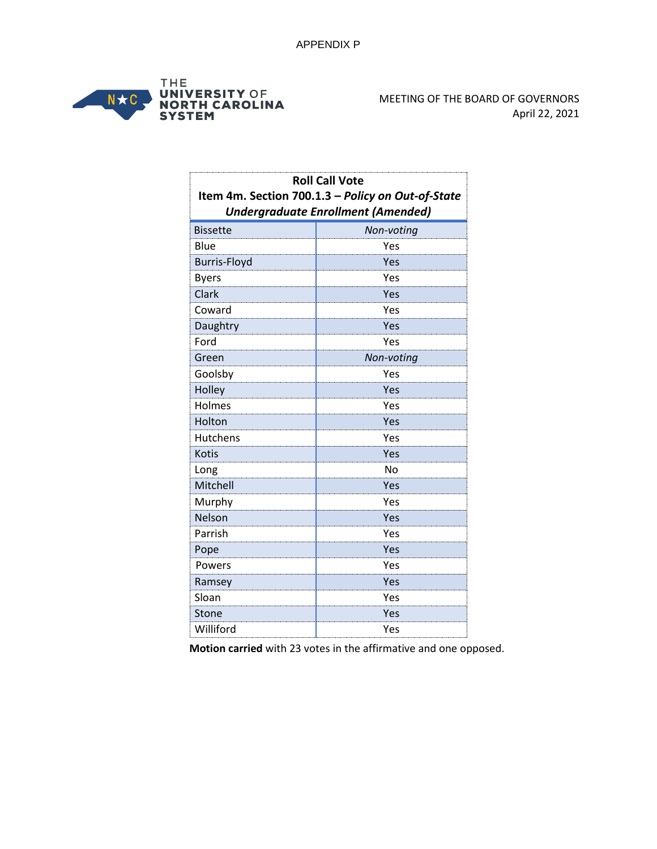

| <b>Roll Call Vote</b>                             |                                           |
|---------------------------------------------------|-------------------------------------------|
| Item 4m. Section 700.1.3 - Policy on Out-of-State |                                           |
|                                                   | <b>Undergraduate Enrollment (Amended)</b> |
| <b>Bissette</b>                                   | Non-voting                                |
| Blue                                              | Yes                                       |
| <b>Burris-Floyd</b>                               | Yes                                       |
| <b>Byers</b>                                      | Yes                                       |
| Clark                                             | Yes                                       |
| Coward                                            | Yes                                       |
| Daughtry                                          | Yes                                       |
| Ford                                              | Yes                                       |
| Green                                             | Non-voting                                |
| Goolsby                                           | Yes                                       |
| Holley                                            | Yes                                       |
| Holmes                                            | Yes                                       |
| Holton                                            | Yes                                       |
| <b>Hutchens</b>                                   | Yes                                       |
| <b>Kotis</b>                                      | Yes                                       |
| Long                                              | No                                        |
| Mitchell                                          | Yes                                       |
| Murphy                                            | Yes                                       |
| Nelson                                            | Yes                                       |
| Parrish                                           | Yes                                       |
| Pope                                              | Yes                                       |
| Powers                                            | Yes                                       |
| Ramsey                                            | Yes                                       |
| Sloan                                             | Yes                                       |
| Stone                                             | Yes                                       |
| Williford                                         | Yes                                       |

**Motion carried** with 23 votes in the affirmative and one opposed.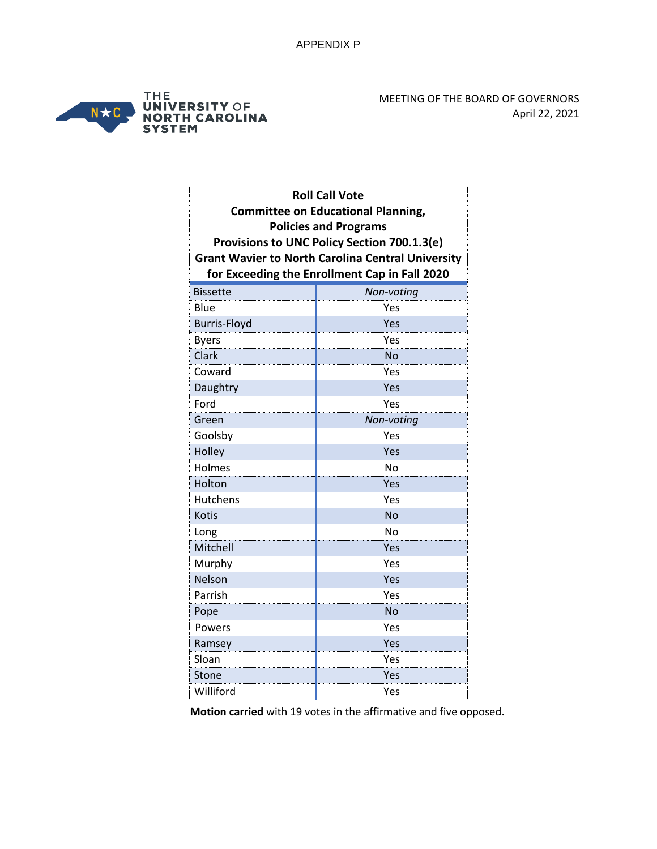

MEETING OF THE BOARD OF GOVERNORS April 22, 2021

| <b>Roll Call Vote</b>        |                                                          |  |
|------------------------------|----------------------------------------------------------|--|
|                              | <b>Committee on Educational Planning,</b>                |  |
| <b>Policies and Programs</b> |                                                          |  |
|                              | Provisions to UNC Policy Section 700.1.3(e)              |  |
|                              | <b>Grant Wavier to North Carolina Central University</b> |  |
|                              | for Exceeding the Enrollment Cap in Fall 2020            |  |
| <b>Bissette</b>              | Non-voting                                               |  |
| Blue                         | Yes                                                      |  |
| <b>Burris-Floyd</b>          | Yes                                                      |  |
| <b>Byers</b>                 | Yes                                                      |  |
| Clark                        | <b>No</b>                                                |  |
| Coward                       | Yes                                                      |  |
| Daughtry                     | Yes                                                      |  |
| Ford                         | Yes                                                      |  |
| Green                        | Non-voting                                               |  |
| Goolsby                      | Yes                                                      |  |
| Holley                       | Yes                                                      |  |
| Holmes                       | Nο                                                       |  |
| Holton                       | Yes                                                      |  |
| Hutchens                     | Yes                                                      |  |
| <b>Kotis</b>                 | <b>No</b>                                                |  |
| Long                         | <b>No</b>                                                |  |
| Mitchell                     | Yes                                                      |  |
| Murphy                       | Yes                                                      |  |
| Nelson                       | Yes                                                      |  |
| Parrish                      | Yes                                                      |  |
| Pope                         | <b>No</b>                                                |  |
| Powers                       | Yes                                                      |  |
| Ramsey                       | Yes                                                      |  |
| Sloan                        | Yes                                                      |  |
| Stone                        | Yes                                                      |  |
| Williford                    | Yes                                                      |  |

**Motion carried** with 19 votes in the affirmative and five opposed.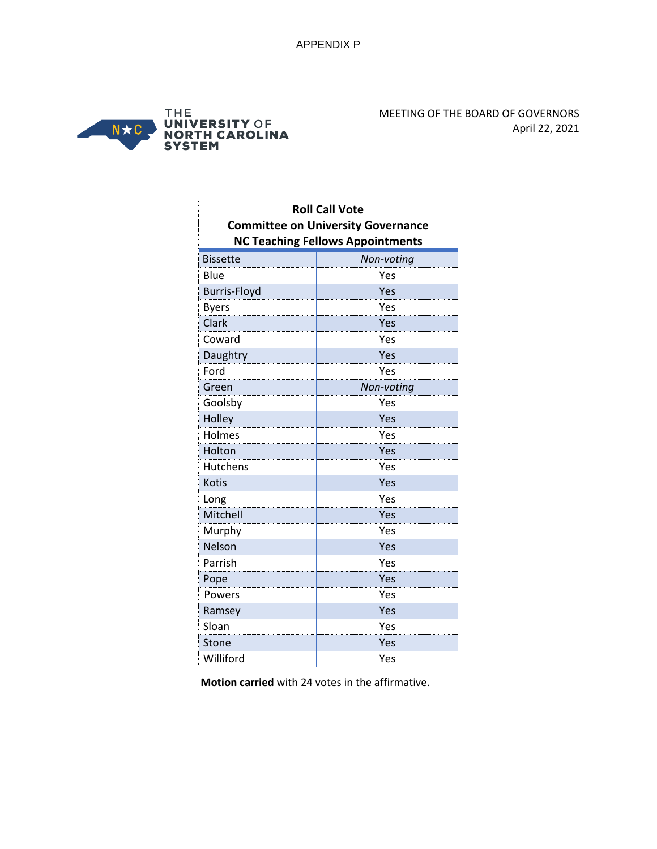

| <b>Roll Call Vote</b><br><b>Committee on University Governance</b><br><b>NC Teaching Fellows Appointments</b> |            |  |
|---------------------------------------------------------------------------------------------------------------|------------|--|
| <b>Bissette</b>                                                                                               | Non-voting |  |
| Blue                                                                                                          | Yes        |  |
| <b>Burris-Floyd</b>                                                                                           | Yes        |  |
| <b>Byers</b>                                                                                                  | Yes        |  |
| Clark                                                                                                         | Yes        |  |
| Coward                                                                                                        | Yes        |  |
| Daughtry                                                                                                      | Yes        |  |
| Ford                                                                                                          | Yes        |  |
| Green                                                                                                         | Non-voting |  |
| Goolsby                                                                                                       | Yes        |  |
| Holley                                                                                                        | Yes        |  |
| Holmes                                                                                                        | Yes        |  |
| Holton                                                                                                        | Yes        |  |
| Hutchens                                                                                                      | Yes        |  |
| <b>Kotis</b>                                                                                                  | Yes        |  |
| Long                                                                                                          | Yes        |  |
| Mitchell                                                                                                      | Yes        |  |
| Murphy                                                                                                        | Yes        |  |
| Nelson                                                                                                        | Yes        |  |
| Parrish                                                                                                       | Yes        |  |
| Pope                                                                                                          | Yes        |  |
| Powers                                                                                                        | Yes        |  |
| Ramsey                                                                                                        | Yes        |  |
| Sloan                                                                                                         | Yes        |  |
| Stone                                                                                                         | Yes        |  |
| Williford                                                                                                     | Yes        |  |

**Motion carried** with 24 votes in the affirmative.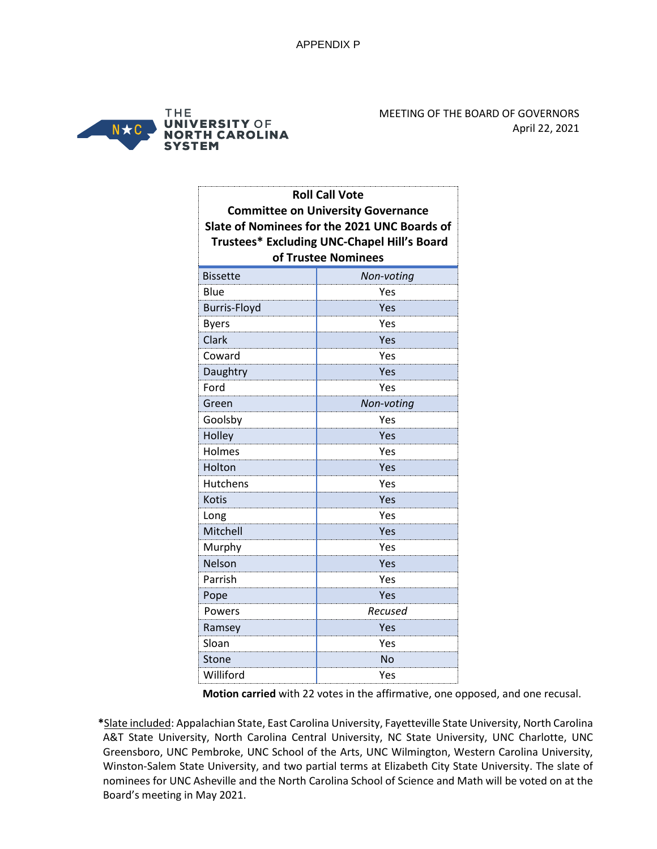

| <b>Roll Call Vote</b> |                                              |
|-----------------------|----------------------------------------------|
|                       | <b>Committee on University Governance</b>    |
|                       | Slate of Nominees for the 2021 UNC Boards of |
|                       | Trustees* Excluding UNC-Chapel Hill's Board  |
|                       | of Trustee Nominees                          |
| <b>Bissette</b>       | Non-voting                                   |
| Blue                  | Yes                                          |
| <b>Burris-Floyd</b>   | Yes                                          |
| <b>Byers</b>          | Yes                                          |
| Clark                 | Yes                                          |
| Coward                | Yes                                          |
| Daughtry              | Yes                                          |
| Ford                  | Yes                                          |
| Green                 | Non-voting                                   |
| Goolsby               | Yes                                          |
| Holley                | Yes                                          |
| Holmes                | Yes                                          |
| Holton                | Yes                                          |
| <b>Hutchens</b>       | Yes                                          |
| <b>Kotis</b>          | Yes                                          |
| Long                  | Yes                                          |
| Mitchell              | Yes                                          |
| Murphy                | Yes                                          |
| Nelson                | Yes                                          |
| Parrish               | Yes                                          |
| Pope                  | Yes                                          |
| Powers                | Recused                                      |
| Ramsey                | Yes                                          |
| Sloan                 | Yes                                          |
| Stone                 | No                                           |
| Williford             | Yes                                          |

 **Motion carried** with 22 votes in the affirmative, one opposed, and one recusal.

**\***Slate included: Appalachian State, East Carolina University, Fayetteville State University, North Carolina A&T State University, North Carolina Central University, NC State University, UNC Charlotte, UNC Greensboro, UNC Pembroke, UNC School of the Arts, UNC Wilmington, Western Carolina University, Winston-Salem State University, and two partial terms at Elizabeth City State University. The slate of nominees for UNC Asheville and the North Carolina School of Science and Math will be voted on at the Board's meeting in May 2021.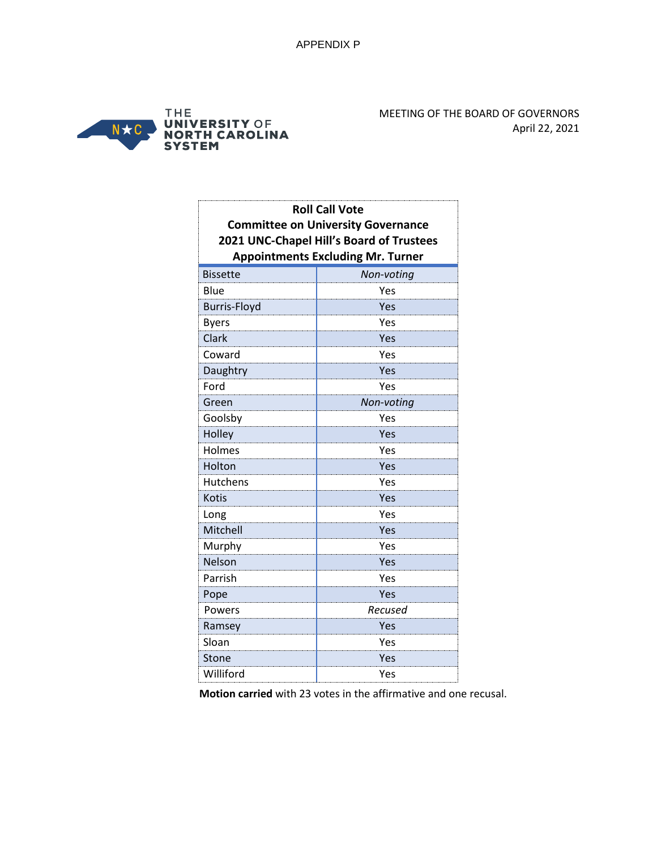

| <b>Roll Call Vote</b><br><b>Committee on University Governance</b><br>2021 UNC-Chapel Hill's Board of Trustees<br><b>Appointments Excluding Mr. Turner</b> |            |
|------------------------------------------------------------------------------------------------------------------------------------------------------------|------------|
| <b>Bissette</b>                                                                                                                                            | Non-voting |
| Blue                                                                                                                                                       | Yes        |
| <b>Burris-Floyd</b>                                                                                                                                        | Yes        |
| <b>Byers</b>                                                                                                                                               | Yes        |
| Clark                                                                                                                                                      | Yes        |
| Coward                                                                                                                                                     | Yes        |
| Daughtry                                                                                                                                                   | Yes        |
| Ford                                                                                                                                                       | Yes        |
| Green                                                                                                                                                      | Non-voting |
| Goolsby                                                                                                                                                    | Yes        |
| Holley                                                                                                                                                     | Yes        |
| Holmes                                                                                                                                                     | Yes        |
| Holton                                                                                                                                                     | Yes        |
| Hutchens                                                                                                                                                   | Yes        |
| <b>Kotis</b>                                                                                                                                               | Yes        |
| Long                                                                                                                                                       | Yes        |
| Mitchell                                                                                                                                                   | Yes        |
| Murphy                                                                                                                                                     | Yes        |
| Nelson                                                                                                                                                     | Yes        |
| Parrish                                                                                                                                                    | Yes        |
| Pope                                                                                                                                                       | Yes        |
| Powers                                                                                                                                                     | Recused    |
| Ramsey                                                                                                                                                     | Yes        |
| Sloan                                                                                                                                                      | Yes        |
| Stone                                                                                                                                                      | Yes        |
| Williford                                                                                                                                                  | Yes        |

 **Motion carried** with 23 votes in the affirmative and one recusal.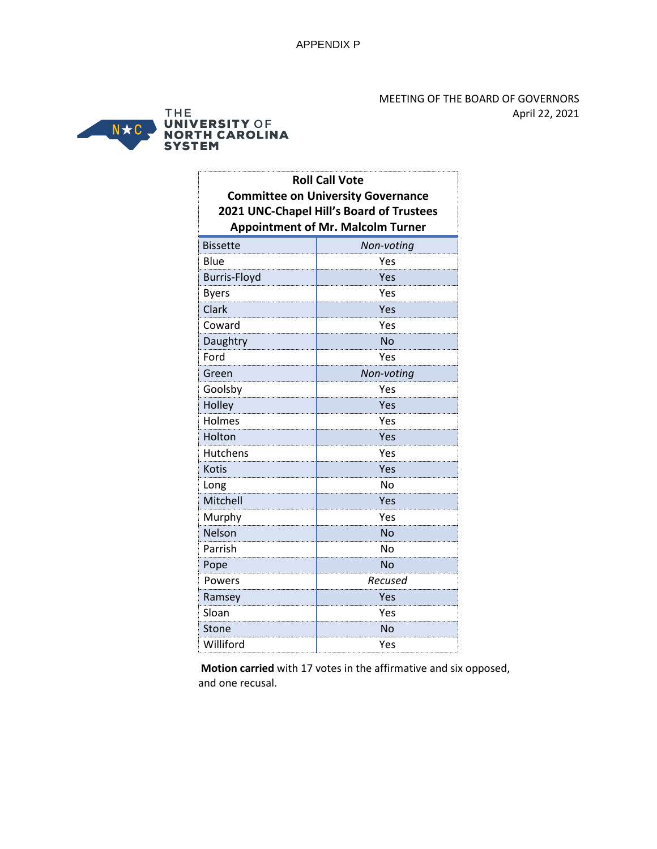

| <b>Roll Call Vote</b><br><b>Committee on University Governance</b><br>2021 UNC-Chapel Hill's Board of Trustees<br><b>Appointment of Mr. Malcolm Turner</b> |            |
|------------------------------------------------------------------------------------------------------------------------------------------------------------|------------|
| <b>Bissette</b>                                                                                                                                            | Non-voting |
| Blue                                                                                                                                                       | Yes        |
| <b>Burris-Floyd</b>                                                                                                                                        | Yes        |
| <b>Byers</b>                                                                                                                                               | Yes        |
| Clark                                                                                                                                                      | Yes        |
| Coward                                                                                                                                                     | Yes        |
| Daughtry                                                                                                                                                   | <b>No</b>  |
| Ford                                                                                                                                                       | Yes        |
| Green                                                                                                                                                      | Non-voting |
| Goolsby                                                                                                                                                    | Yes        |
| Holley                                                                                                                                                     | Yes        |
| Holmes                                                                                                                                                     | Yes        |
| Holton                                                                                                                                                     | Yes        |
| Hutchens                                                                                                                                                   | Yes        |
| <b>Kotis</b>                                                                                                                                               | Yes        |
| Long                                                                                                                                                       | No         |
| Mitchell                                                                                                                                                   | Yes        |
| Murphy                                                                                                                                                     | Yes        |
| Nelson                                                                                                                                                     | No         |
| Parrish                                                                                                                                                    | No         |
| Pope                                                                                                                                                       | No         |
| Powers                                                                                                                                                     | Recused    |
| Ramsey                                                                                                                                                     | Yes        |
| Sloan                                                                                                                                                      | Yes        |
| Stone                                                                                                                                                      | No         |
| Williford                                                                                                                                                  | Yes        |

 **Motion carried** with 17 votes in the affirmative and six opposed, and one recusal.